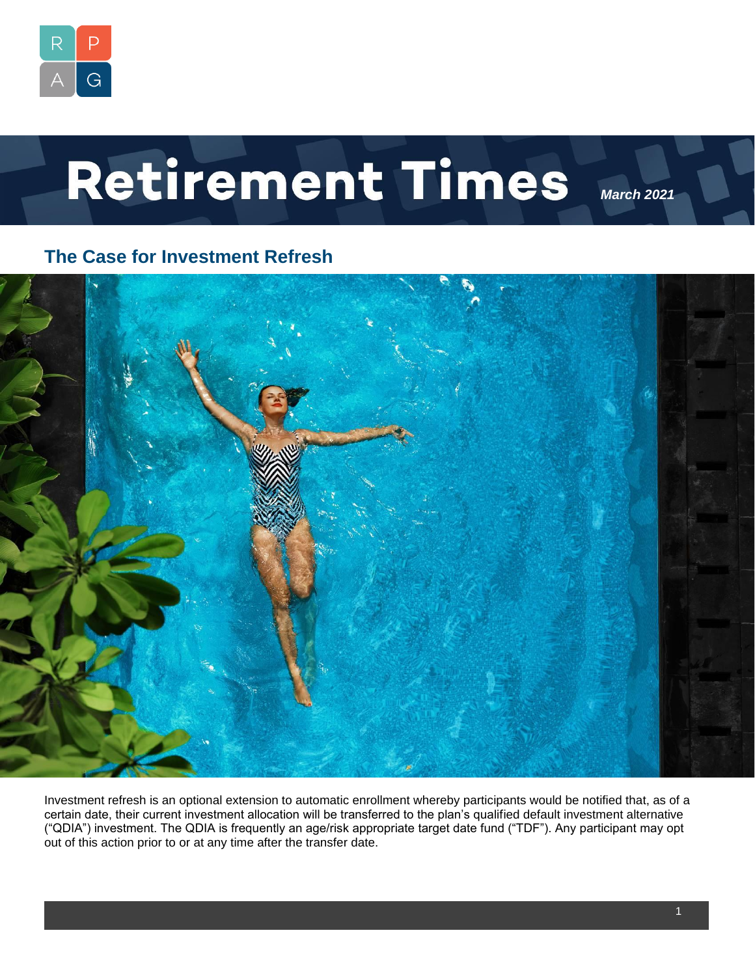

# Retirement Times

## **The Case for Investment Refresh**



Investment refresh is an optional extension to automatic enrollment whereby participants would be notified that, as of a certain date, their current investment allocation will be transferred to the plan's qualified default investment alternative ("QDIA") investment. The QDIA is frequently an age/risk appropriate target date fund ("TDF"). Any participant may opt out of this action prior to or at any time after the transfer date.

*March 2021*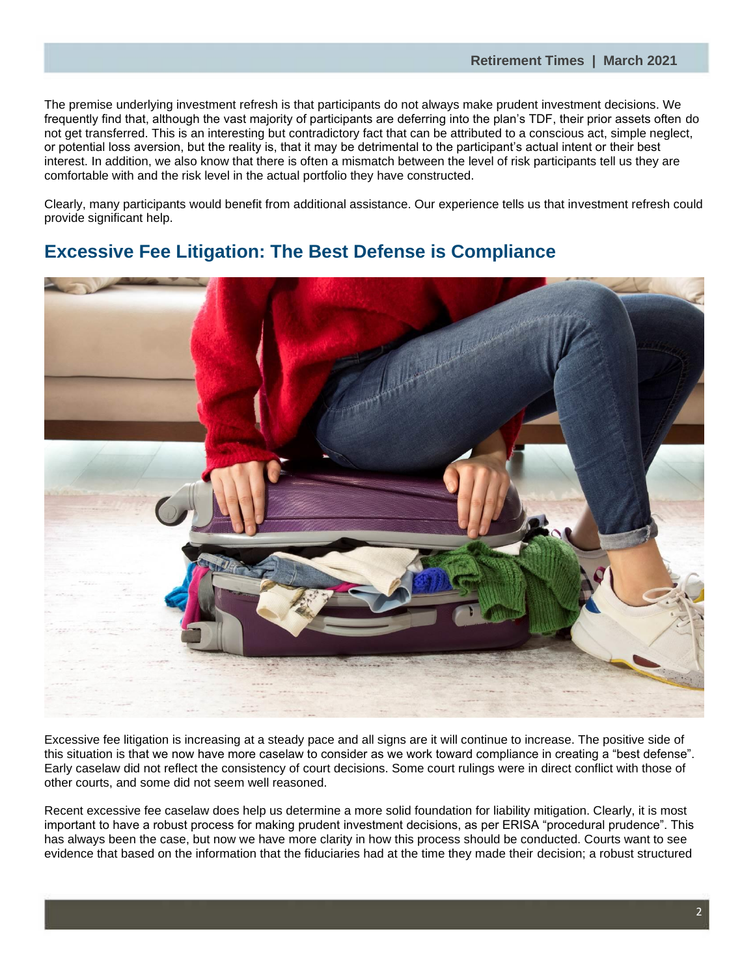The premise underlying investment refresh is that participants do not always make prudent investment decisions. We frequently find that, although the vast majority of participants are deferring into the plan's TDF, their prior assets often do not get transferred. This is an interesting but contradictory fact that can be attributed to a conscious act, simple neglect, or potential loss aversion, but the reality is, that it may be detrimental to the participant's actual intent or their best interest. In addition, we also know that there is often a mismatch between the level of risk participants tell us they are comfortable with and the risk level in the actual portfolio they have constructed.

Clearly, many participants would benefit from additional assistance. Our experience tells us that investment refresh could provide significant help.

## **Excessive Fee Litigation: The Best Defense is Compliance**



Excessive fee litigation is increasing at a steady pace and all signs are it will continue to increase. The positive side of this situation is that we now have more caselaw to consider as we work toward compliance in creating a "best defense". Early caselaw did not reflect the consistency of court decisions. Some court rulings were in direct conflict with those of other courts, and some did not seem well reasoned.

Recent excessive fee caselaw does help us determine a more solid foundation for liability mitigation. Clearly, it is most important to have a robust process for making prudent investment decisions, as per ERISA "procedural prudence". This has always been the case, but now we have more clarity in how this process should be conducted. Courts want to see evidence that based on the information that the fiduciaries had at the time they made their decision; a robust structured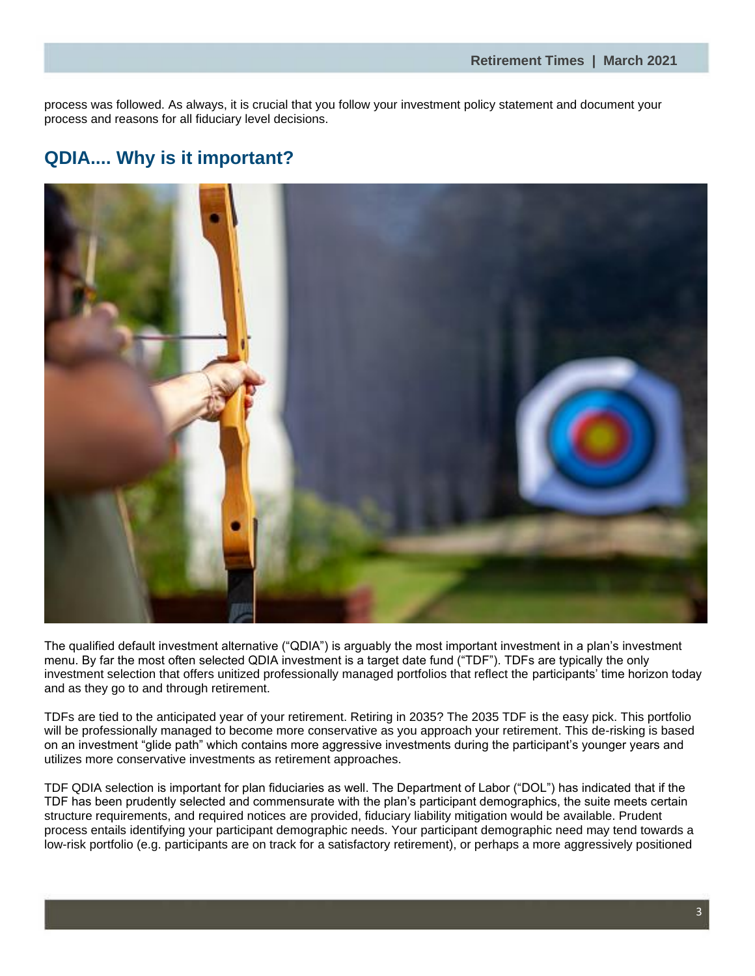process was followed. As always, it is crucial that you follow your investment policy statement and document your process and reasons for all fiduciary level decisions.

# **QDIA.... Why is it important?**



The qualified default investment alternative ("QDIA") is arguably the most important investment in a plan's investment menu. By far the most often selected QDIA investment is a target date fund ("TDF"). TDFs are typically the only investment selection that offers unitized professionally managed portfolios that reflect the participants' time horizon today and as they go to and through retirement.

TDFs are tied to the anticipated year of your retirement. Retiring in 2035? The 2035 TDF is the easy pick. This portfolio will be professionally managed to become more conservative as you approach your retirement. This de-risking is based on an investment "glide path" which contains more aggressive investments during the participant's younger years and utilizes more conservative investments as retirement approaches.

TDF QDIA selection is important for plan fiduciaries as well. The Department of Labor ("DOL") has indicated that if the TDF has been prudently selected and commensurate with the plan's participant demographics, the suite meets certain structure requirements, and required notices are provided, fiduciary liability mitigation would be available. Prudent process entails identifying your participant demographic needs. Your participant demographic need may tend towards a low-risk portfolio (e.g. participants are on track for a satisfactory retirement), or perhaps a more aggressively positioned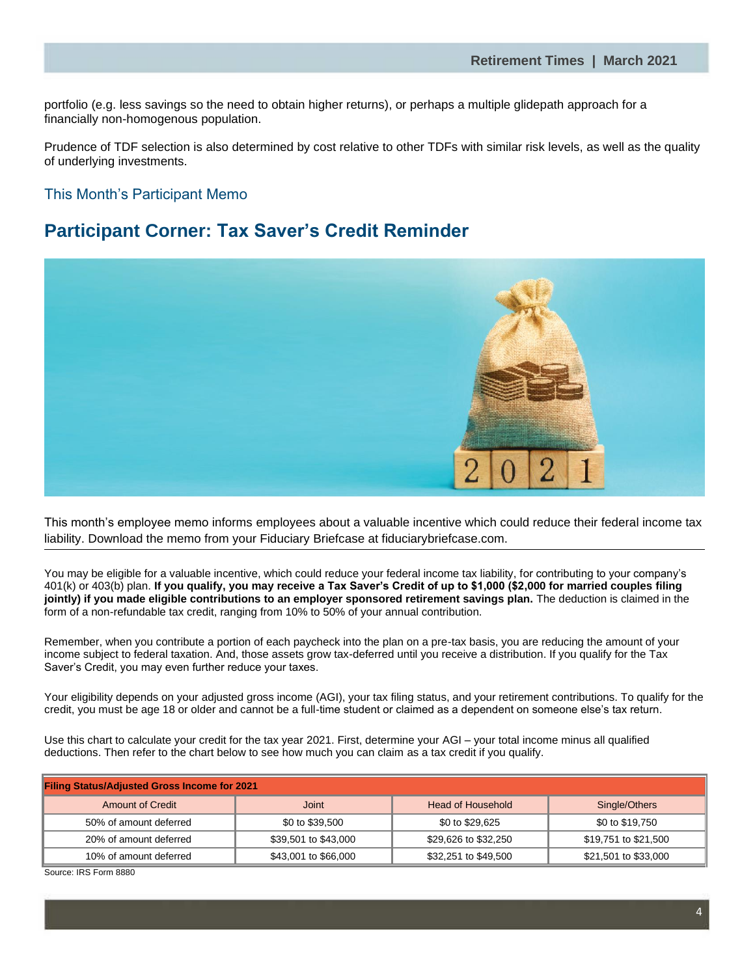portfolio (e.g. less savings so the need to obtain higher returns), or perhaps a multiple glidepath approach for a financially non-homogenous population.

Prudence of TDF selection is also determined by cost relative to other TDFs with similar risk levels, as well as the quality of underlying investments.

#### This Month's Participant Memo

### **Participant Corner: Tax Saver's Credit Reminder**



This month's employee memo informs employees about a valuable incentive which could reduce their federal income tax liability. Download the memo from your Fiduciary Briefcase at fiduciarybriefcase.com.

You may be eligible for a valuable incentive, which could reduce your federal income tax liability, for contributing to your company's 401(k) or 403(b) plan. **If you qualify, you may receive a Tax Saver's Credit of up to \$1,000 (\$2,000 for married couples filing jointly) if you made eligible contributions to an employer sponsored retirement savings plan.** The deduction is claimed in the form of a non-refundable tax credit, ranging from 10% to 50% of your annual contribution.

Remember, when you contribute a portion of each paycheck into the plan on a pre-tax basis, you are reducing the amount of your income subject to federal taxation. And, those assets grow tax-deferred until you receive a distribution. If you qualify for the Tax Saver's Credit, you may even further reduce your taxes.

Your eligibility depends on your adjusted gross income (AGI), your tax filing status, and your retirement contributions. To qualify for the credit, you must be age 18 or older and cannot be a full-time student or claimed as a dependent on someone else's tax return.

Use this chart to calculate your credit for the tax year 2021. First, determine your AGI – your total income minus all qualified deductions. Then refer to the chart below to see how much you can claim as a tax credit if you qualify.

| <b>Filing Status/Adjusted Gross Income for 2021</b> |                      |                      |                      |
|-----------------------------------------------------|----------------------|----------------------|----------------------|
| <b>Amount of Credit</b>                             | <b>Joint</b>         | Head of Household    | Single/Others        |
| 50% of amount deferred                              | \$0 to \$39,500      | \$0 to \$29,625      | \$0 to \$19,750      |
| 20% of amount deferred                              | \$39,501 to \$43,000 | \$29,626 to \$32,250 | \$19,751 to \$21,500 |
| 10% of amount deferred                              | \$43,001 to \$66,000 | \$32,251 to \$49,500 | \$21,501 to \$33,000 |

Source: IRS Form 8880